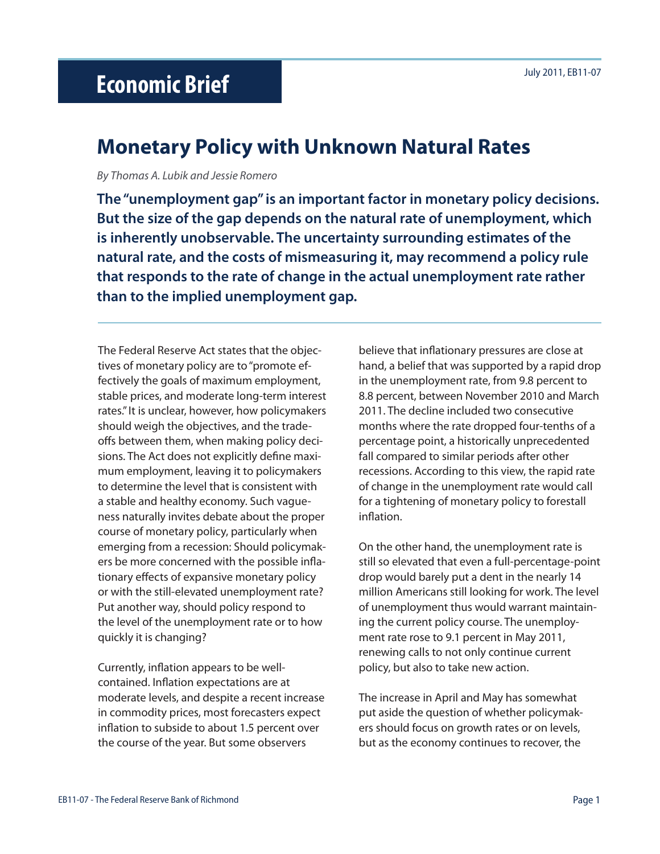# July 2011, EB11-07 **Economic Brief**

## **Monetary Policy with Unknown Natural Rates**

*By Thomas A. Lubik and Jessie Romero*

**The "unemployment gap" is an important factor in monetary policy decisions. But the size of the gap depends on the natural rate of unemployment, which is inherently unobservable. The uncertainty surrounding estimates of the natural rate, and the costs of mismeasuring it, may recommend a policy rule that responds to the rate of change in the actual unemployment rate rather than to the implied unemployment gap.** 

The Federal Reserve Act states that the objectives of monetary policy are to "promote effectively the goals of maximum employment, stable prices, and moderate long-term interest rates." It is unclear, however, how policymakers should weigh the objectives, and the tradeoffs between them, when making policy decisions. The Act does not explicitly define maximum employment, leaving it to policymakers to determine the level that is consistent with a stable and healthy economy. Such vagueness naturally invites debate about the proper course of monetary policy, particularly when emerging from a recession: Should policymakers be more concerned with the possible inflationary effects of expansive monetary policy or with the still-elevated unemployment rate? Put another way, should policy respond to the level of the unemployment rate or to how quickly it is changing?

Currently, inflation appears to be wellcontained. Inflation expectations are at moderate levels, and despite a recent increase in commodity prices, most forecasters expect inflation to subside to about 1.5 percent over the course of the year. But some observers

believe that inflationary pressures are close at hand, a belief that was supported by a rapid drop in the unemployment rate, from 9.8 percent to 8.8 percent, between November 2010 and March 2011. The decline included two consecutive months where the rate dropped four-tenths of a percentage point, a historically unprecedented fall compared to similar periods after other recessions. According to this view, the rapid rate of change in the unemployment rate would call for a tightening of monetary policy to forestall inflation.

On the other hand, the unemployment rate is still so elevated that even a full-percentage-point drop would barely put a dent in the nearly 14 million Americans still looking for work. The level of unemployment thus would warrant maintaining the current policy course. The unemployment rate rose to 9.1 percent in May 2011, renewing calls to not only continue current policy, but also to take new action.

The increase in April and May has somewhat put aside the question of whether policymakers should focus on growth rates or on levels, but as the economy continues to recover, the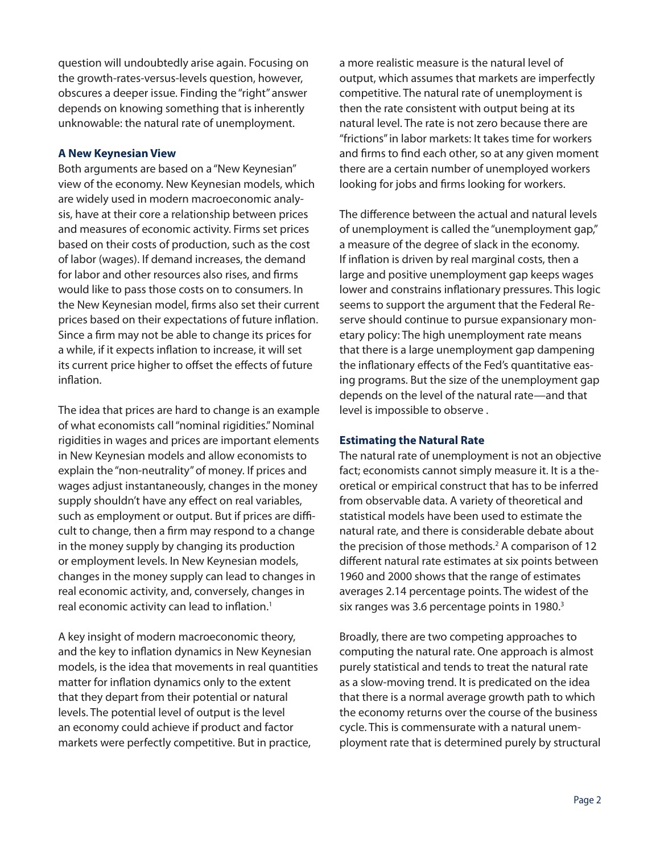question will undoubtedly arise again. Focusing on the growth-rates-versus-levels question, however, obscures a deeper issue. Finding the "right" answer depends on knowing something that is inherently unknowable: the natural rate of unemployment.

### **A New Keynesian View**

Both arguments are based on a "New Keynesian" view of the economy. New Keynesian models, which are widely used in modern macroeconomic analysis, have at their core a relationship between prices and measures of economic activity. Firms set prices based on their costs of production, such as the cost of labor (wages). If demand increases, the demand for labor and other resources also rises, and firms would like to pass those costs on to consumers. In the New Keynesian model, firms also set their current prices based on their expectations of future inflation. Since a firm may not be able to change its prices for a while, if it expects inflation to increase, it will set its current price higher to offset the effects of future inflation.

The idea that prices are hard to change is an example of what economists call "nominal rigidities." Nominal rigidities in wages and prices are important elements in New Keynesian models and allow economists to explain the "non-neutrality" of money. If prices and wages adjust instantaneously, changes in the money supply shouldn't have any effect on real variables, such as employment or output. But if prices are difficult to change, then a firm may respond to a change in the money supply by changing its production or employment levels. In New Keynesian models, changes in the money supply can lead to changes in real economic activity, and, conversely, changes in real economic activity can lead to inflation.<sup>1</sup>

A key insight of modern macroeconomic theory, and the key to inflation dynamics in New Keynesian models, is the idea that movements in real quantities matter for inflation dynamics only to the extent that they depart from their potential or natural levels. The potential level of output is the level an economy could achieve if product and factor markets were perfectly competitive. But in practice,

a more realistic measure is the natural level of output, which assumes that markets are imperfectly competitive. The natural rate of unemployment is then the rate consistent with output being at its natural level. The rate is not zero because there are "frictions" in labor markets: It takes time for workers and firms to find each other, so at any given moment there are a certain number of unemployed workers looking for jobs and firms looking for workers.

The difference between the actual and natural levels of unemployment is called the "unemployment gap," a measure of the degree of slack in the economy. If inflation is driven by real marginal costs, then a large and positive unemployment gap keeps wages lower and constrains inflationary pressures. This logic seems to support the argument that the Federal Reserve should continue to pursue expansionary monetary policy: The high unemployment rate means that there is a large unemployment gap dampening the inflationary effects of the Fed's quantitative easing programs. But the size of the unemployment gap depends on the level of the natural rate—and that level is impossible to observe .

#### **Estimating the Natural Rate**

The natural rate of unemployment is not an objective fact; economists cannot simply measure it. It is a theoretical or empirical construct that has to be inferred from observable data. A variety of theoretical and statistical models have been used to estimate the natural rate, and there is considerable debate about the precision of those methods.<sup>2</sup> A comparison of 12 different natural rate estimates at six points between 1960 and 2000 shows that the range of estimates averages 2.14 percentage points. The widest of the six ranges was 3.6 percentage points in 1980.<sup>3</sup>

Broadly, there are two competing approaches to computing the natural rate. One approach is almost purely statistical and tends to treat the natural rate as a slow-moving trend. It is predicated on the idea that there is a normal average growth path to which the economy returns over the course of the business cycle. This is commensurate with a natural unemployment rate that is determined purely by structural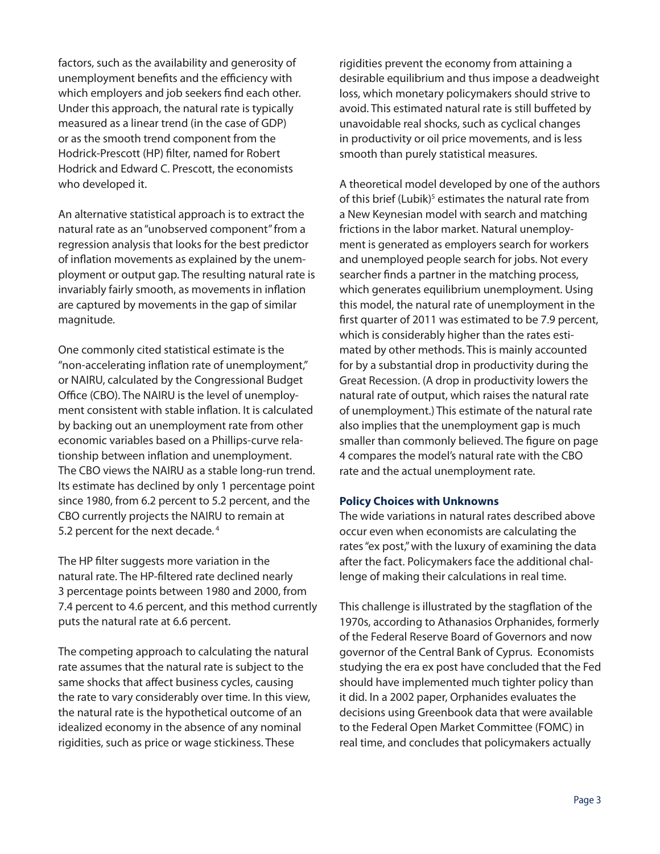factors, such as the availability and generosity of unemployment benefits and the efficiency with which employers and job seekers find each other. Under this approach, the natural rate is typically measured as a linear trend (in the case of GDP) or as the smooth trend component from the Hodrick-Prescott (HP) filter, named for Robert Hodrick and Edward C. Prescott, the economists who developed it.

An alternative statistical approach is to extract the natural rate as an "unobserved component" from a regression analysis that looks for the best predictor of inflation movements as explained by the unemployment or output gap. The resulting natural rate is invariably fairly smooth, as movements in inflation are captured by movements in the gap of similar magnitude.

One commonly cited statistical estimate is the "non-accelerating inflation rate of unemployment," or NAIRU, calculated by the Congressional Budget Office (CBO). The NAIRU is the level of unemployment consistent with stable inflation. It is calculated by backing out an unemployment rate from other economic variables based on a Phillips-curve relationship between inflation and unemployment. The CBO views the NAIRU as a stable long-run trend. Its estimate has declined by only 1 percentage point since 1980, from 6.2 percent to 5.2 percent, and the CBO currently projects the NAIRU to remain at 5.2 percent for the next decade. 4

The HP filter suggests more variation in the natural rate. The HP-filtered rate declined nearly 3 percentage points between 1980 and 2000, from 7.4 percent to 4.6 percent, and this method currently puts the natural rate at 6.6 percent.

The competing approach to calculating the natural rate assumes that the natural rate is subject to the same shocks that affect business cycles, causing the rate to vary considerably over time. In this view, the natural rate is the hypothetical outcome of an idealized economy in the absence of any nominal rigidities, such as price or wage stickiness. These

rigidities prevent the economy from attaining a desirable equilibrium and thus impose a deadweight loss, which monetary policymakers should strive to avoid. This estimated natural rate is still buffeted by unavoidable real shocks, such as cyclical changes in productivity or oil price movements, and is less smooth than purely statistical measures.

A theoretical model developed by one of the authors of this brief (Lubik)<sup>5</sup> estimates the natural rate from a New Keynesian model with search and matching frictions in the labor market. Natural unemployment is generated as employers search for workers and unemployed people search for jobs. Not every searcher finds a partner in the matching process, which generates equilibrium unemployment. Using this model, the natural rate of unemployment in the first quarter of 2011 was estimated to be 7.9 percent, which is considerably higher than the rates estimated by other methods. This is mainly accounted for by a substantial drop in productivity during the Great Recession. (A drop in productivity lowers the natural rate of output, which raises the natural rate of unemployment.) This estimate of the natural rate also implies that the unemployment gap is much smaller than commonly believed. The figure on page 4 compares the model's natural rate with the CBO rate and the actual unemployment rate.

#### **Policy Choices with Unknowns**

The wide variations in natural rates described above occur even when economists are calculating the rates "ex post," with the luxury of examining the data after the fact. Policymakers face the additional challenge of making their calculations in real time.

This challenge is illustrated by the stagflation of the 1970s, according to Athanasios Orphanides, formerly of the Federal Reserve Board of Governors and now governor of the Central Bank of Cyprus. Economists studying the era ex post have concluded that the Fed should have implemented much tighter policy than it did. In a 2002 paper, Orphanides evaluates the decisions using Greenbook data that were available to the Federal Open Market Committee (FOMC) in real time, and concludes that policymakers actually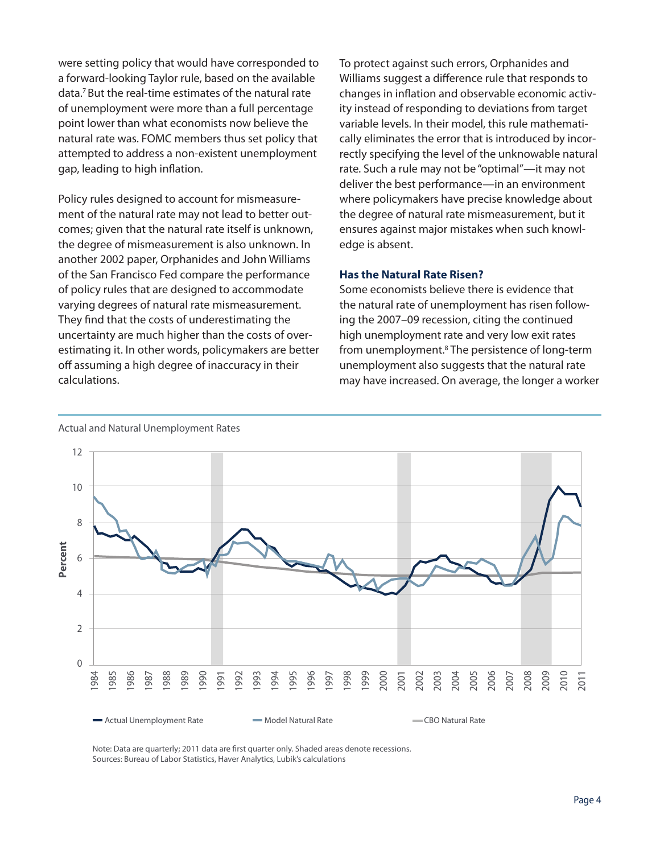were setting policy that would have corresponded to a forward-looking Taylor rule, based on the available data.7 But the real-time estimates of the natural rate of unemployment were more than a full percentage point lower than what economists now believe the natural rate was. FOMC members thus set policy that attempted to address a non-existent unemployment gap, leading to high inflation.

Policy rules designed to account for mismeasurement of the natural rate may not lead to better outcomes; given that the natural rate itself is unknown, the degree of mismeasurement is also unknown. In another 2002 paper, Orphanides and John Williams of the San Francisco Fed compare the performance of policy rules that are designed to accommodate varying degrees of natural rate mismeasurement. They find that the costs of underestimating the uncertainty are much higher than the costs of overestimating it. In other words, policymakers are better off assuming a high degree of inaccuracy in their calculations.

To protect against such errors, Orphanides and Williams suggest a difference rule that responds to changes in inflation and observable economic activity instead of responding to deviations from target variable levels. In their model, this rule mathematically eliminates the error that is introduced by incorrectly specifying the level of the unknowable natural rate. Such a rule may not be "optimal"—it may not deliver the best performance—in an environment where policymakers have precise knowledge about the degree of natural rate mismeasurement, but it ensures against major mistakes when such knowledge is absent.

#### **Has the Natural Rate Risen?**

Some economists believe there is evidence that the natural rate of unemployment has risen following the 2007–09 recession, citing the continued high unemployment rate and very low exit rates from unemployment.<sup>8</sup> The persistence of long-term unemployment also suggests that the natural rate may have increased. On average, the longer a worker



Actual and Natural Unemployment Rates

Note: Data are quarterly; 2011 data are first quarter only. Shaded areas denote recessions. Sources: Bureau of Labor Statistics, Haver Analytics, Lubik's calculations